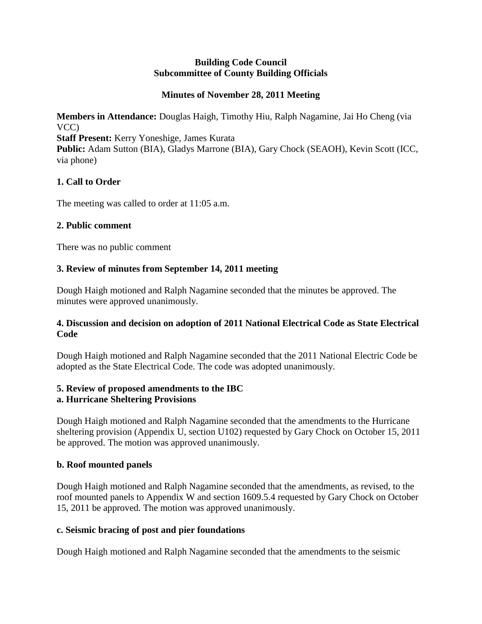#### **Building Code Council Subcommittee of County Building Officials**

### **Minutes of November 28, 2011 Meeting**

**Members in Attendance:** Douglas Haigh, Timothy Hiu, Ralph Nagamine, Jai Ho Cheng (via VCC) **Staff Present:** Kerry Yoneshige, James Kurata

Public: Adam Sutton (BIA), Gladys Marrone (BIA), Gary Chock (SEAOH), Kevin Scott (ICC, via phone)

# **1. Call to Order**

The meeting was called to order at 11:05 a.m.

# **2. Public comment**

There was no public comment

# **3. Review of minutes from September 14, 2011 meeting**

Dough Haigh motioned and Ralph Nagamine seconded that the minutes be approved. The minutes were approved unanimously.

# **4. Discussion and decision on adoption of 2011 National Electrical Code as State Electrical Code**

Dough Haigh motioned and Ralph Nagamine seconded that the 2011 National Electric Code be adopted as the State Electrical Code. The code was adopted unanimously.

# **5. Review of proposed amendments to the IBC**

# **a. Hurricane Sheltering Provisions**

Dough Haigh motioned and Ralph Nagamine seconded that the amendments to the Hurricane sheltering provision (Appendix U, section U102) requested by Gary Chock on October 15, 2011 be approved. The motion was approved unanimously.

# **b. Roof mounted panels**

Dough Haigh motioned and Ralph Nagamine seconded that the amendments, as revised, to the roof mounted panels to Appendix W and section 1609.5.4 requested by Gary Chock on October 15, 2011 be approved. The motion was approved unanimously.

# **c. Seismic bracing of post and pier foundations**

Dough Haigh motioned and Ralph Nagamine seconded that the amendments to the seismic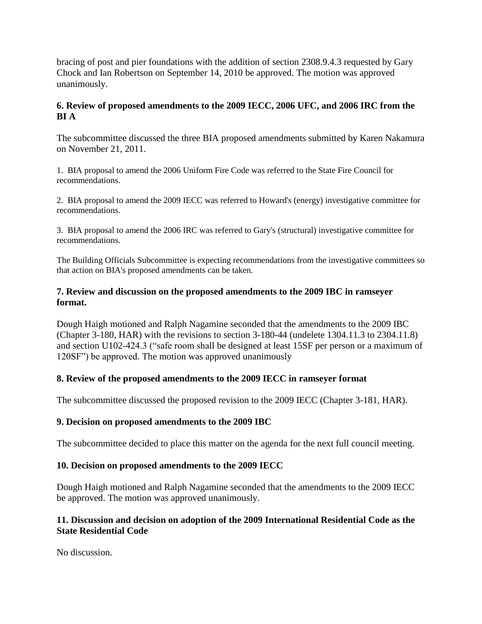bracing of post and pier foundations with the addition of section 2308.9.4.3 requested by Gary Chock and Ian Robertson on September 14, 2010 be approved. The motion was approved unanimously.

# **6. Review of proposed amendments to the 2009 IECC, 2006 UFC, and 2006 IRC from the BI A**

The subcommittee discussed the three BIA proposed amendments submitted by Karen Nakamura on November 21, 2011.

1. BIA proposal to amend the 2006 Uniform Fire Code was referred to the State Fire Council for recommendations.

2. BIA proposal to amend the 2009 IECC was referred to Howard's (energy) investigative committee for recommendations.

3. BIA proposal to amend the 2006 IRC was referred to Gary's (structural) investigative committee for recommendations.

The Building Officials Subcommittee is expecting recommendations from the investigative committees so that action on BIA's proposed amendments can be taken.

### **7. Review and discussion on the proposed amendments to the 2009 IBC in ramseyer format.**

Dough Haigh motioned and Ralph Nagamine seconded that the amendments to the 2009 IBC (Chapter 3-180, HAR) with the revisions to section 3-180-44 (undelete 1304.11.3 to 2304.11.8) and section U102-424.3 ("safe room shall be designed at least 15SF per person or a maximum of 120SF") be approved. The motion was approved unanimously

# **8. Review of the proposed amendments to the 2009 IECC in ramseyer format**

The subcommittee discussed the proposed revision to the 2009 IECC (Chapter 3-181, HAR).

# **9. Decision on proposed amendments to the 2009 IBC**

The subcommittee decided to place this matter on the agenda for the next full council meeting.

# **10. Decision on proposed amendments to the 2009 IECC**

Dough Haigh motioned and Ralph Nagamine seconded that the amendments to the 2009 IECC be approved. The motion was approved unanimously.

# **11. Discussion and decision on adoption of the 2009 International Residential Code as the State Residential Code**

No discussion.